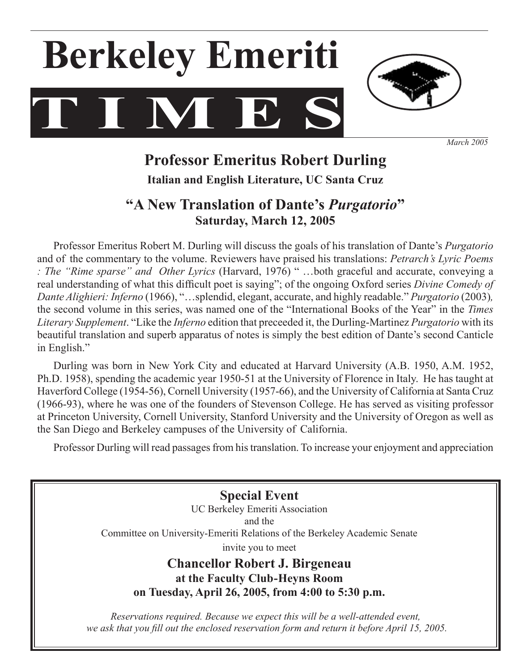



*March 2005*

# **Professor Emeritus Robert Durling Italian and English Literature, UC Santa Cruz**

# **"A New Translation of Dante's** *Purgatorio***" Saturday, March 12, 2005**

 Professor Emeritus Robert M. Durling will discuss the goals of his translation of Dante's *Purgatorio* and of the commentary to the volume. Reviewers have praised his translations: *Petrarch's Lyric Poems : The "Rime sparse" and Other Lyrics* (Harvard, 1976) " …both graceful and accurate, conveying a real understanding of what this difficult poet is saying"; of the ongoing Oxford series *Divine Comedy of Dante Alighieri: Inferno* (1966), "…splendid, elegant, accurate, and highly readable." *Purgatorio* (2003)*,*  the second volume in this series, was named one of the "International Books of the Year" in the *Times Literary Supplement*. "Like the *Inferno* edition that preceeded it, the Durling-Martinez *Purgatorio* with its beautiful translation and superb apparatus of notes is simply the best edition of Dante's second Canticle in English."

 Durling was born in New York City and educated at Harvard University (A.B. 1950, A.M. 1952, Ph.D. 1958), spending the academic year 1950-51 at the University of Florence in Italy. He has taught at Haverford College (1954-56), Cornell University (1957-66), and the University of California at Santa Cruz (1966-93), where he was one of the founders of Stevenson College. He has served as visiting professor at Princeton University, Cornell University, Stanford University and the University of Oregon as well as the San Diego and Berkeley campuses of the University of California.

Professor Durling will read passages from his translation. To increase your enjoyment and appreciation

**Special Event** UC Berkeley Emeriti Association and the Committee on University-Emeriti Relations of the Berkeley Academic Senate invite you to meet

# **Chancellor Robert J. Birgeneau at the Faculty Club-Heyns Room on Tuesday, April 26, 2005, from 4:00 to 5:30 p.m.**

*we ask that you fill out the enclosed reservation form and return it before April 15, 2005. Reservations required. Because we expect this will be a well-attended event,*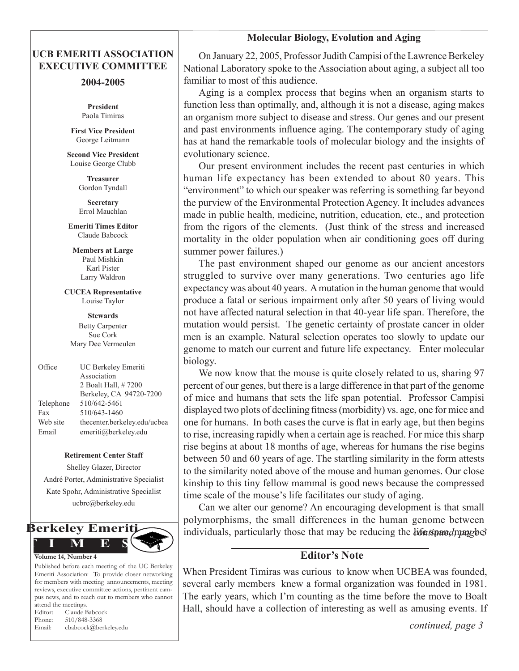### **Molecular Biology, Evolution and Aging**

### **UCB EMERITI ASSOCIATION EXECUTIVE COMMITTEE**

#### **2004-2005**

**President** Paola Timiras

**First Vice President** George Leitmann

**Second Vice President** Louise George Clubb

> **Treasurer**  Gordon Tyndall

> **Secretary**  Errol Mauchlan

**Emeriti Times Editor** Claude Babcock

**Members at Large** Paul Mishkin Karl Pister Larry Waldron

**CUCEA Representative** Louise Taylor

**Stewards** Betty Carpenter Sue Cork Mary Dee Vermeulen

Office UC Berkeley Emeriti Association 2 Boalt Hall, # 7200 Berkeley, CA 94720-7200 Telephone 510/642-5461 Fax 510/643-1460 Web site thecenter.berkeley.edu/ucbea Email emeriti@berkeley.edu

#### **Retirement Center Staff**

Shelley Glazer, Director André Porter, Administrative Specialist Kate Spohr, Administrative Specialist ucbrc@berkeley.edu



Published before each meeting of the UC Berkeley Emeriti Association: To provide closer networking for members with meeting announcements, meeting reviews, executive committee actions, pertinent campus news, and to reach out to members who cannot attend the meetings. Editor: Claude Babcock Phone: 510/848-3368 Email: cbabcock@berkeley.edu

On January 22, 2005, Professor Judith Campisi of the Lawrence Berkeley National Laboratory spoke to the Association about aging, a subject all too familiar to most of this audience.

Aging is a complex process that begins when an organism starts to function less than optimally, and, although it is not a disease, aging makes an organism more subject to disease and stress. Our genes and our present and past environments influence aging. The contemporary study of aging has at hand the remarkable tools of molecular biology and the insights of evolutionary science.

Our present environment includes the recent past centuries in which human life expectancy has been extended to about 80 years. This "environment" to which our speaker was referring is something far beyond the purview of the Environmental Protection Agency. It includes advances made in public health, medicine, nutrition, education, etc., and protection from the rigors of the elements. (Just think of the stress and increased mortality in the older population when air conditioning goes off during summer power failures.)

 The past environment shaped our genome as our ancient ancestors struggled to survive over many generations. Two centuries ago life expectancy was about 40 years. A mutation in the human genome that would produce a fatal or serious impairment only after 50 years of living would not have affected natural selection in that 40-year life span. Therefore, the mutation would persist. The genetic certainty of prostate cancer in older men is an example. Natural selection operates too slowly to update our genome to match our current and future life expectancy. Enter molecular biology.

We now know that the mouse is quite closely related to us, sharing 97 percent of our genes, but there is a large difference in that part of the genome of mice and humans that sets the life span potential. Professor Campisi displayed two plots of declining fitness (morbidity) vs. age, one for mice and one for humans. In both cases the curve is flat in early age, but then begins to rise, increasing rapidly when a certain age is reached. For mice this sharp rise begins at about 18 months of age, whereas for humans the rise begins between 50 and 60 years of age. The startling similarity in the form attests to the similarity noted above of the mouse and human genomes. Our close kinship to this tiny fellow mammal is good news because the compressed time scale of the mouse's life facilitates our study of aging.

 Can we alter our genome? An encouraging development is that small polymorphisms, the small differences in the human genome between individuals, particularly those that may be reducing the *bibe is paned may be 3* 

# **Editor's Note**

When President Timiras was curious to know when UCBEA was founded, several early members knew a formal organization was founded in 1981. The early years, which I'm counting as the time before the move to Boalt Hall, should have a collection of interesting as well as amusing events. If

*continued, page 3*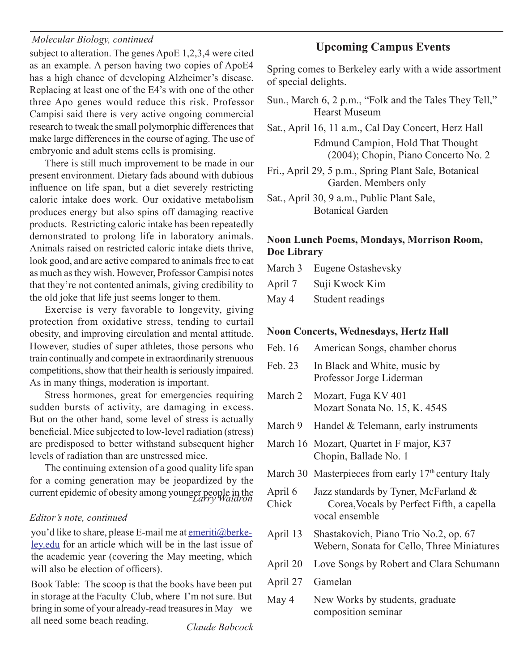#### *Molecular Biology, continued*

subject to alteration. The genes ApoE 1,2,3,4 were cited as an example. A person having two copies of ApoE4 has a high chance of developing Alzheimer's disease. Replacing at least one of the E4's with one of the other three Apo genes would reduce this risk. Professor Campisi said there is very active ongoing commercial research to tweak the small polymorphic differences that make large differences in the course of aging. The use of embryonic and adult stems cells is promising.

 There is still much improvement to be made in our present environment. Dietary fads abound with dubious influence on life span, but a diet severely restricting caloric intake does work. Our oxidative metabolism produces energy but also spins off damaging reactive products. Restricting caloric intake has been repeatedly demonstrated to prolong life in laboratory animals. Animals raised on restricted caloric intake diets thrive, look good, and are active compared to animals free to eat as much asthey wish. However, Professor Campisi notes that they're not contented animals, giving credibility to the old joke that life just seems longer to them.

Exercise is very favorable to longevity, giving protection from oxidative stress, tending to curtail obesity, and improving circulation and mental attitude. However, studies of super athletes, those persons who train continually and compete in extraordinarily strenuous competitions, show that their health is seriously impaired. As in many things, moderation is important.

 Stress hormones, great for emergencies requiring sudden bursts of activity, are damaging in excess. But on the other hand, some level of stress is actually beneficial. Mice subjected to low-level radiation (stress) are predisposed to better withstand subsequent higher levels of radiation than are unstressed mice.

The continuing extension of a good quality life span for a coming generation may be jeopardized by the current epidemic of obesity among younger people in the *Larry Waldron*

#### *Editor's note, continued*

you'd like to share, please E-mail me at emeriti@berkeley.edu for an article which will be in the last issue of the academic year (covering the May meeting, which will also be election of officers).

Book Table: The scoop is that the books have been put in storage at the Faculty Club, where I'm not sure. But bring in some of your already-read treasures in May–we all need some beach reading.

*Claude Babcock*

# **Upcoming Campus Events**

Spring comes to Berkeley early with a wide assortment of special delights.

- Sun., March 6, 2 p.m., "Folk and the Tales They Tell," Hearst Museum
- Sat., April 16, 11 a.m., Cal Day Concert, Herz Hall Edmund Campion, Hold That Thought (2004); Chopin, Piano Concerto No. 2
- Fri., April 29, 5 p.m., Spring Plant Sale, Botanical Garden. Members only
- Sat., April 30, 9 a.m., Public Plant Sale, Botanical Garden

## **Noon Lunch Poems, Mondays, Morrison Room, Doe Library**

- March 3 Eugene Ostashevsky
- April 7 Suji Kwock Kim
- May 4 Student readings

#### **Noon Concerts, Wednesdays, Hertz Hall**

| Feb. 16          | American Songs, chamber chorus                                                                      |
|------------------|-----------------------------------------------------------------------------------------------------|
| Feb. 23          | In Black and White, music by<br>Professor Jorge Liderman                                            |
| March 2          | Mozart, Fuga KV 401<br>Mozart Sonata No. 15, K. 454S                                                |
| March 9          | Handel & Telemann, early instruments                                                                |
|                  | March 16 Mozart, Quartet in F major, K37<br>Chopin, Ballade No. 1                                   |
|                  | March 30 Masterpieces from early $17th$ century Italy                                               |
| April 6<br>Chick | Jazz standards by Tyner, McFarland &<br>Corea, Vocals by Perfect Fifth, a capella<br>vocal ensemble |
| April 13         | Shastakovich, Piano Trio No.2, op. 67<br>Webern, Sonata for Cello, Three Miniatures                 |
| April 20         | Love Songs by Robert and Clara Schumann                                                             |
| April 27         | Gamelan                                                                                             |
| May 4            | New Works by students, graduate<br>composition seminar                                              |